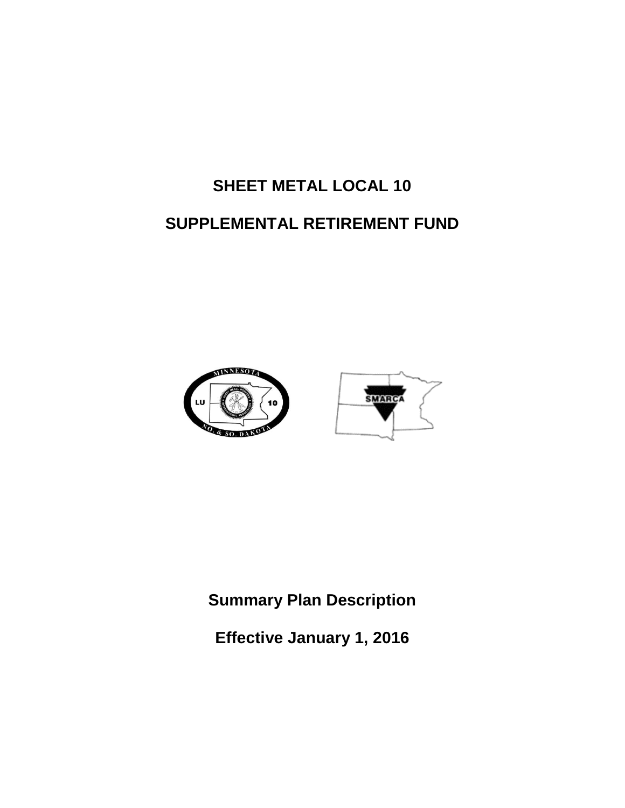# **SHEET METAL LOCAL 10 SUPPLEMENTAL RETIREMENT FUND**





**Summary Plan Description**

**Effective January 1, 2016**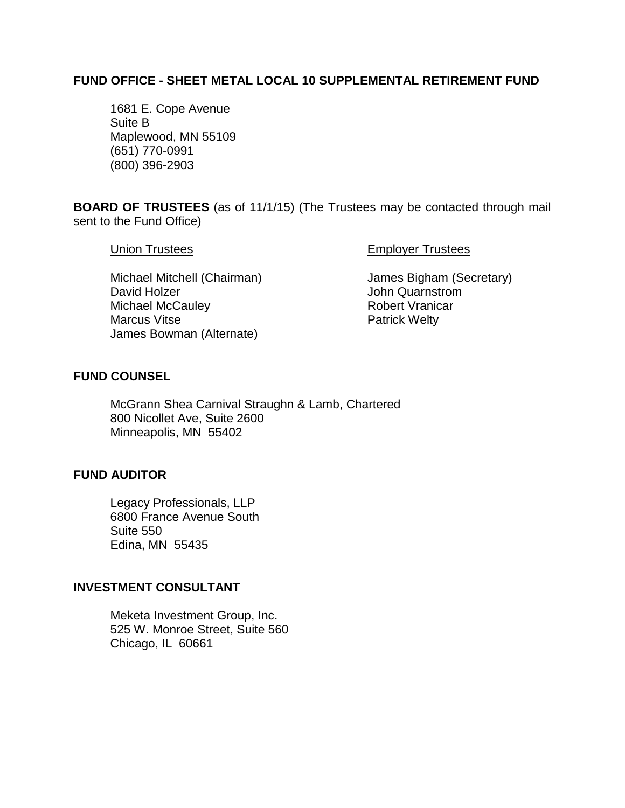### **FUND OFFICE - SHEET METAL LOCAL 10 SUPPLEMENTAL RETIREMENT FUND**

1681 E. Cope Avenue Suite B Maplewood, MN 55109 (651) 770-0991 (800) 396-2903

**BOARD OF TRUSTEES** (as of 11/1/15) (The Trustees may be contacted through mail sent to the Fund Office)

Union Trustees **Employer Trustees** 

Michael Mitchell (Chairman) James Bigham (Secretary) David Holzer **David Holzer** John Quarnstrom Michael McCauley **Robert Vranicar** Robert Vranicar Marcus Vitse **Patrick Welty** James Bowman (Alternate)

### **FUND COUNSEL**

McGrann Shea Carnival Straughn & Lamb, Chartered 800 Nicollet Ave, Suite 2600 Minneapolis, MN 55402

### **FUND AUDITOR**

Legacy Professionals, LLP 6800 France Avenue South Suite 550 Edina, MN 55435

### **INVESTMENT CONSULTANT**

Meketa Investment Group, Inc. 525 W. Monroe Street, Suite 560 Chicago, IL 60661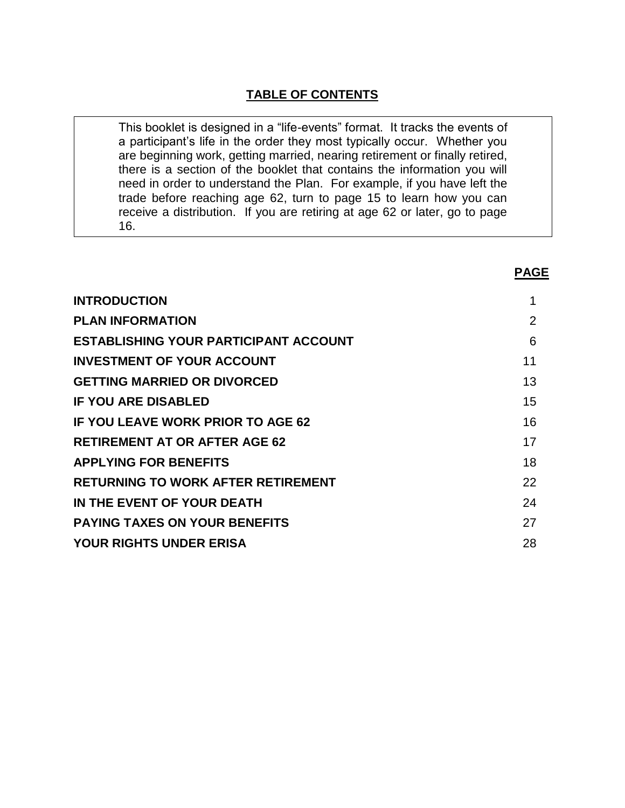### **TABLE OF CONTENTS**

This booklet is designed in a "life-events" format. It tracks the events of a participant's life in the order they most typically occur. Whether you are beginning work, getting married, nearing retirement or finally retired, there is a section of the booklet that contains the information you will need in order to understand the Plan. For example, if you have left the trade before reaching age 62, turn to page 15 to learn how you can receive a distribution. If you are retiring at age 62 or later, go to page 16.

**PAGE**

| <b>INTRODUCTION</b>                      |    |
|------------------------------------------|----|
| <b>PLAN INFORMATION</b>                  | 2  |
| ESTABLISHING YOUR PARTICIPANT ACCOUNT    | 6  |
| <b>INVESTMENT OF YOUR ACCOUNT</b>        | 11 |
| <b>GETTING MARRIED OR DIVORCED</b>       | 13 |
| <b>IF YOU ARE DISABLED</b>               | 15 |
| <b>IF YOU LEAVE WORK PRIOR TO AGE 62</b> | 16 |
| <b>RETIREMENT AT OR AFTER AGE 62</b>     | 17 |
| <b>APPLYING FOR BENEFITS</b>             | 18 |
| RETURNING TO WORK AFTER RETIREMENT       | 22 |
| IN THE EVENT OF YOUR DEATH               | 24 |
| <b>PAYING TAXES ON YOUR BENEFITS</b>     | 27 |
| YOUR RIGHTS UNDER ERISA                  | 28 |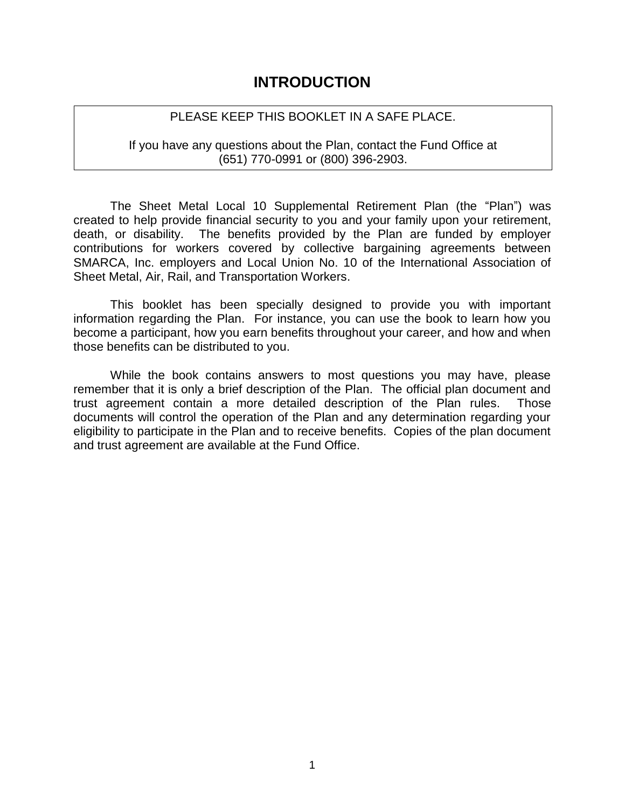### **INTRODUCTION**

### PLEASE KEEP THIS BOOKLET IN A SAFE PLACE.

If you have any questions about the Plan, contact the Fund Office at (651) 770-0991 or (800) 396-2903.

The Sheet Metal Local 10 Supplemental Retirement Plan (the "Plan") was created to help provide financial security to you and your family upon your retirement, death, or disability. The benefits provided by the Plan are funded by employer contributions for workers covered by collective bargaining agreements between SMARCA, Inc. employers and Local Union No. 10 of the International Association of Sheet Metal, Air, Rail, and Transportation Workers.

This booklet has been specially designed to provide you with important information regarding the Plan. For instance, you can use the book to learn how you become a participant, how you earn benefits throughout your career, and how and when those benefits can be distributed to you.

While the book contains answers to most questions you may have, please remember that it is only a brief description of the Plan. The official plan document and trust agreement contain a more detailed description of the Plan rules. Those documents will control the operation of the Plan and any determination regarding your eligibility to participate in the Plan and to receive benefits. Copies of the plan document and trust agreement are available at the Fund Office.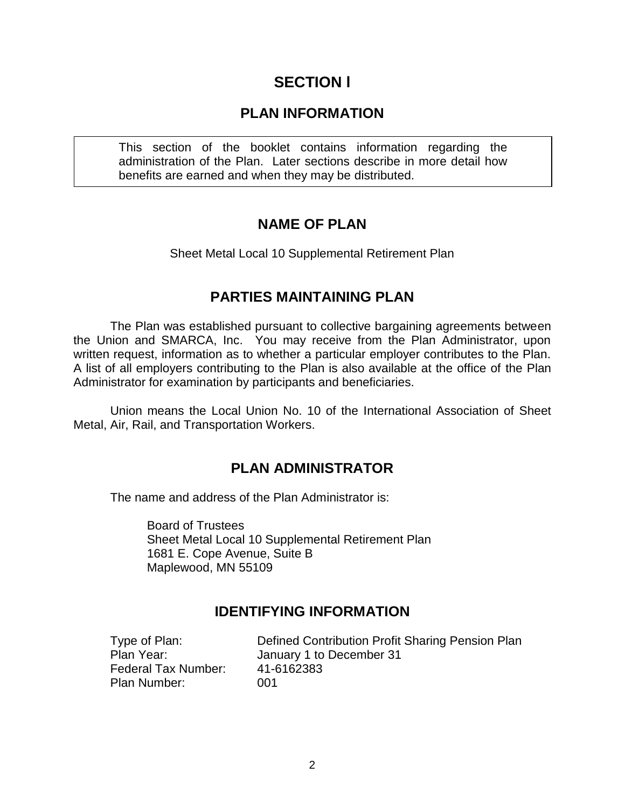# **SECTION l**

### **PLAN INFORMATION**

This section of the booklet contains information regarding the administration of the Plan. Later sections describe in more detail how benefits are earned and when they may be distributed.

### **NAME OF PLAN**

Sheet Metal Local 10 Supplemental Retirement Plan

### **PARTIES MAINTAINING PLAN**

The Plan was established pursuant to collective bargaining agreements between the Union and SMARCA, Inc. You may receive from the Plan Administrator, upon written request, information as to whether a particular employer contributes to the Plan. A list of all employers contributing to the Plan is also available at the office of the Plan Administrator for examination by participants and beneficiaries.

Union means the Local Union No. 10 of the International Association of Sheet Metal, Air, Rail, and Transportation Workers.

### **PLAN ADMINISTRATOR**

The name and address of the Plan Administrator is:

Board of Trustees Sheet Metal Local 10 Supplemental Retirement Plan 1681 E. Cope Avenue, Suite B Maplewood, MN 55109

### **IDENTIFYING INFORMATION**

Type of Plan: Defined Contribution Profit Sharing Pension Plan Plan Year: January 1 to December 31 Federal Tax Number: 41-6162383 Plan Number: 001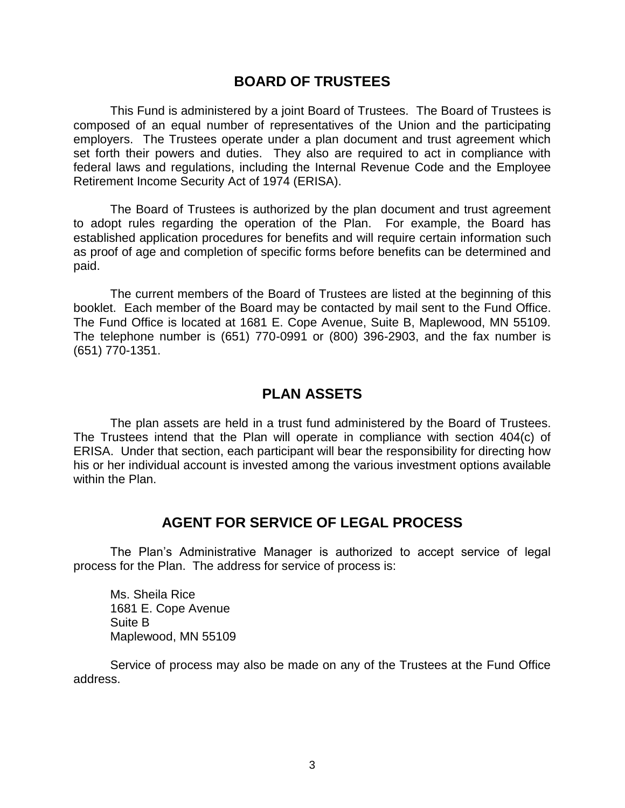### **BOARD OF TRUSTEES**

This Fund is administered by a joint Board of Trustees. The Board of Trustees is composed of an equal number of representatives of the Union and the participating employers. The Trustees operate under a plan document and trust agreement which set forth their powers and duties. They also are required to act in compliance with federal laws and regulations, including the Internal Revenue Code and the Employee Retirement Income Security Act of 1974 (ERISA).

The Board of Trustees is authorized by the plan document and trust agreement to adopt rules regarding the operation of the Plan. For example, the Board has established application procedures for benefits and will require certain information such as proof of age and completion of specific forms before benefits can be determined and paid.

The current members of the Board of Trustees are listed at the beginning of this booklet. Each member of the Board may be contacted by mail sent to the Fund Office. The Fund Office is located at 1681 E. Cope Avenue, Suite B, Maplewood, MN 55109. The telephone number is (651) 770-0991 or (800) 396-2903, and the fax number is (651) 770-1351.

### **PLAN ASSETS**

The plan assets are held in a trust fund administered by the Board of Trustees. The Trustees intend that the Plan will operate in compliance with section 404(c) of ERISA. Under that section, each participant will bear the responsibility for directing how his or her individual account is invested among the various investment options available within the Plan.

### **AGENT FOR SERVICE OF LEGAL PROCESS**

The Plan's Administrative Manager is authorized to accept service of legal process for the Plan. The address for service of process is:

Ms. Sheila Rice 1681 E. Cope Avenue Suite B Maplewood, MN 55109

Service of process may also be made on any of the Trustees at the Fund Office address.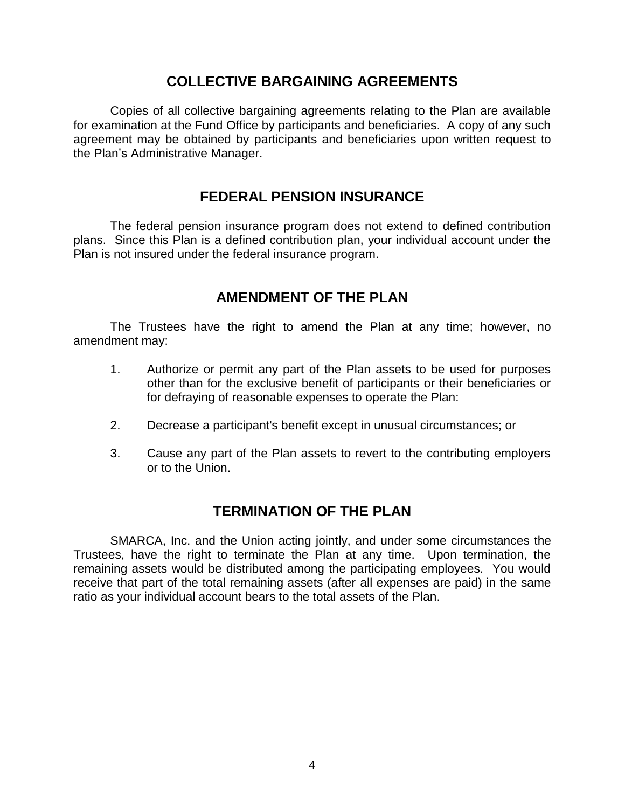### **COLLECTIVE BARGAINING AGREEMENTS**

Copies of all collective bargaining agreements relating to the Plan are available for examination at the Fund Office by participants and beneficiaries. A copy of any such agreement may be obtained by participants and beneficiaries upon written request to the Plan's Administrative Manager.

### **FEDERAL PENSION INSURANCE**

The federal pension insurance program does not extend to defined contribution plans. Since this Plan is a defined contribution plan, your individual account under the Plan is not insured under the federal insurance program.

### **AMENDMENT OF THE PLAN**

The Trustees have the right to amend the Plan at any time; however, no amendment may:

- 1. Authorize or permit any part of the Plan assets to be used for purposes other than for the exclusive benefit of participants or their beneficiaries or for defraying of reasonable expenses to operate the Plan:
- 2. Decrease a participant's benefit except in unusual circumstances; or
- 3. Cause any part of the Plan assets to revert to the contributing employers or to the Union.

### **TERMINATION OF THE PLAN**

SMARCA, Inc. and the Union acting jointly, and under some circumstances the Trustees, have the right to terminate the Plan at any time. Upon termination, the remaining assets would be distributed among the participating employees. You would receive that part of the total remaining assets (after all expenses are paid) in the same ratio as your individual account bears to the total assets of the Plan.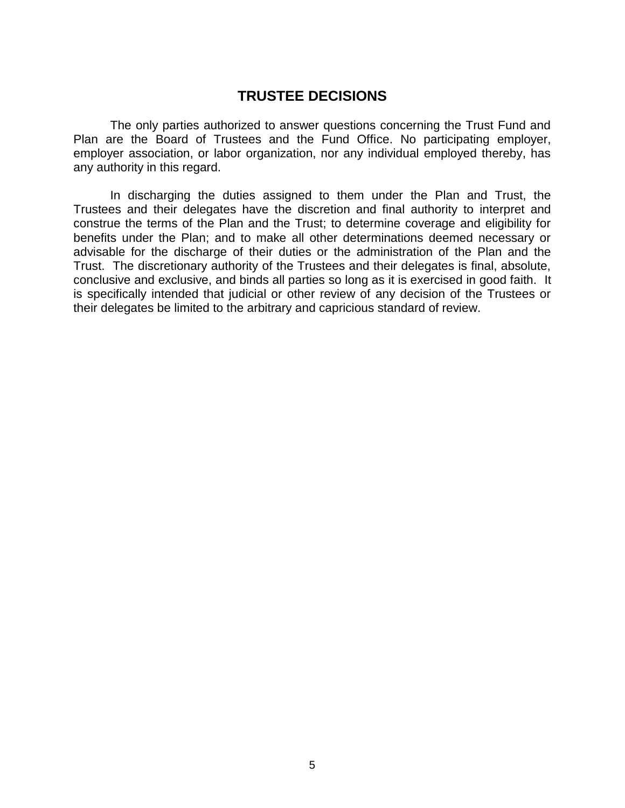### **TRUSTEE DECISIONS**

The only parties authorized to answer questions concerning the Trust Fund and Plan are the Board of Trustees and the Fund Office. No participating employer, employer association, or labor organization, nor any individual employed thereby, has any authority in this regard.

In discharging the duties assigned to them under the Plan and Trust, the Trustees and their delegates have the discretion and final authority to interpret and construe the terms of the Plan and the Trust; to determine coverage and eligibility for benefits under the Plan; and to make all other determinations deemed necessary or advisable for the discharge of their duties or the administration of the Plan and the Trust. The discretionary authority of the Trustees and their delegates is final, absolute, conclusive and exclusive, and binds all parties so long as it is exercised in good faith. It is specifically intended that judicial or other review of any decision of the Trustees or their delegates be limited to the arbitrary and capricious standard of review.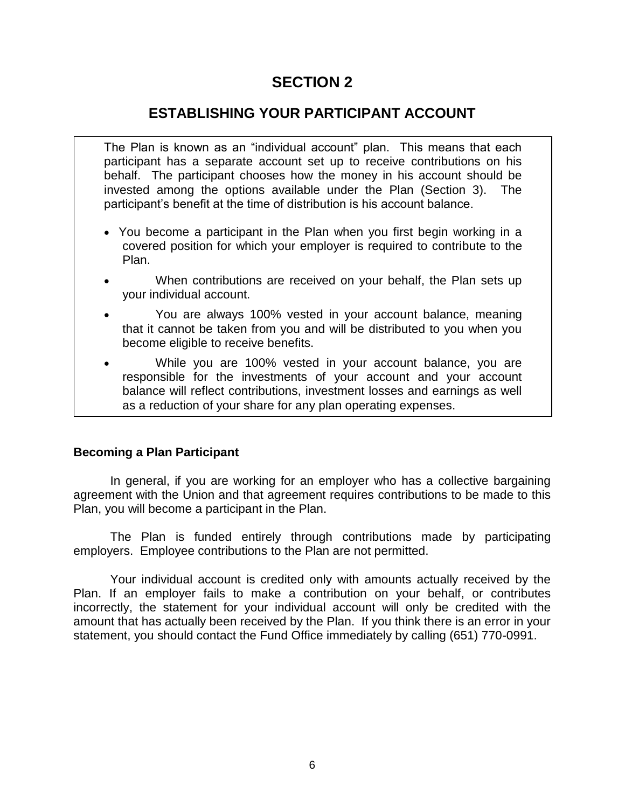# **ESTABLISHING YOUR PARTICIPANT ACCOUNT**

The Plan is known as an "individual account" plan. This means that each participant has a separate account set up to receive contributions on his behalf. The participant chooses how the money in his account should be invested among the options available under the Plan (Section 3). The participant's benefit at the time of distribution is his account balance.

- You become a participant in the Plan when you first begin working in a covered position for which your employer is required to contribute to the Plan.
- When contributions are received on your behalf, the Plan sets up your individual account.
- You are always 100% vested in your account balance, meaning that it cannot be taken from you and will be distributed to you when you become eligible to receive benefits.
- While you are 100% vested in your account balance, you are responsible for the investments of your account and your account balance will reflect contributions, investment losses and earnings as well as a reduction of your share for any plan operating expenses.

### **Becoming a Plan Participant**

In general, if you are working for an employer who has a collective bargaining agreement with the Union and that agreement requires contributions to be made to this Plan, you will become a participant in the Plan.

The Plan is funded entirely through contributions made by participating employers. Employee contributions to the Plan are not permitted.

Your individual account is credited only with amounts actually received by the Plan. If an employer fails to make a contribution on your behalf, or contributes incorrectly, the statement for your individual account will only be credited with the amount that has actually been received by the Plan. If you think there is an error in your statement, you should contact the Fund Office immediately by calling (651) 770-0991.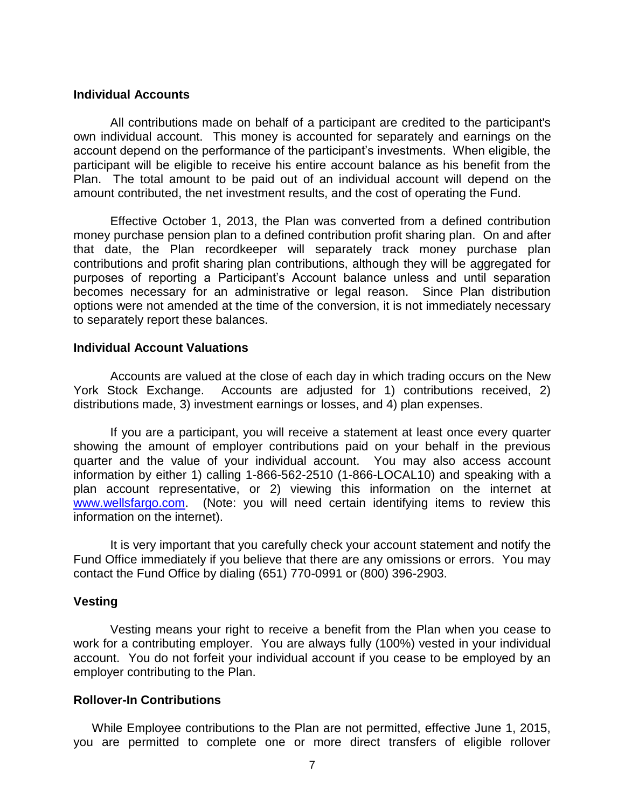#### **Individual Accounts**

All contributions made on behalf of a participant are credited to the participant's own individual account. This money is accounted for separately and earnings on the account depend on the performance of the participant's investments. When eligible, the participant will be eligible to receive his entire account balance as his benefit from the Plan. The total amount to be paid out of an individual account will depend on the amount contributed, the net investment results, and the cost of operating the Fund.

Effective October 1, 2013, the Plan was converted from a defined contribution money purchase pension plan to a defined contribution profit sharing plan. On and after that date, the Plan recordkeeper will separately track money purchase plan contributions and profit sharing plan contributions, although they will be aggregated for purposes of reporting a Participant's Account balance unless and until separation becomes necessary for an administrative or legal reason. Since Plan distribution options were not amended at the time of the conversion, it is not immediately necessary to separately report these balances.

#### **Individual Account Valuations**

Accounts are valued at the close of each day in which trading occurs on the New York Stock Exchange. Accounts are adjusted for 1) contributions received, 2) distributions made, 3) investment earnings or losses, and 4) plan expenses.

If you are a participant, you will receive a statement at least once every quarter showing the amount of employer contributions paid on your behalf in the previous quarter and the value of your individual account. You may also access account information by either 1) calling 1-866-562-2510 (1-866-LOCAL10) and speaking with a plan account representative, or 2) viewing this information on the internet at www.wellsfargo.com. (Note: you will need certain identifying items to review this information on the internet).

It is very important that you carefully check your account statement and notify the Fund Office immediately if you believe that there are any omissions or errors. You may contact the Fund Office by dialing (651) 770-0991 or (800) 396-2903.

#### **Vesting**

Vesting means your right to receive a benefit from the Plan when you cease to work for a contributing employer. You are always fully (100%) vested in your individual account. You do not forfeit your individual account if you cease to be employed by an employer contributing to the Plan.

#### **Rollover-In Contributions**

While Employee contributions to the Plan are not permitted, effective June 1, 2015, you are permitted to complete one or more direct transfers of eligible rollover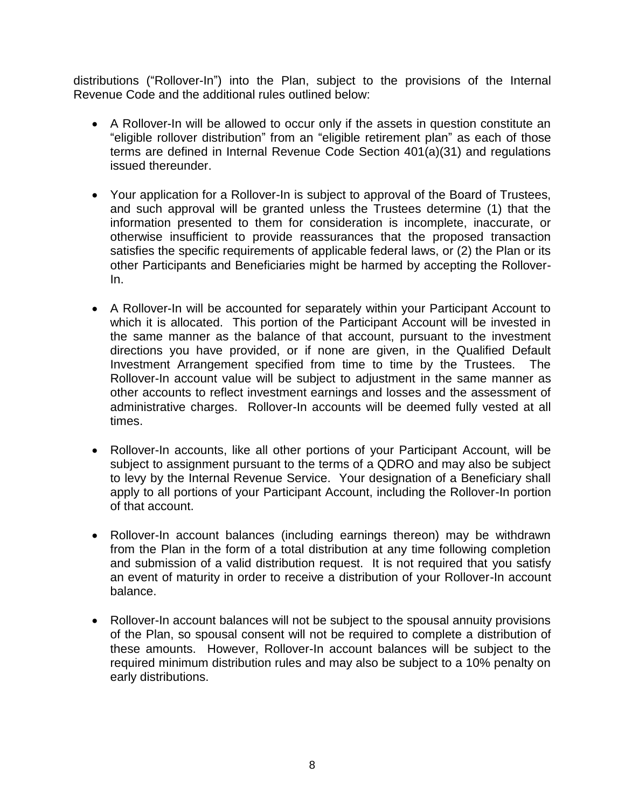distributions ("Rollover-In") into the Plan, subject to the provisions of the Internal Revenue Code and the additional rules outlined below:

- A Rollover-In will be allowed to occur only if the assets in question constitute an "eligible rollover distribution" from an "eligible retirement plan" as each of those terms are defined in Internal Revenue Code Section 401(a)(31) and regulations issued thereunder.
- Your application for a Rollover-In is subject to approval of the Board of Trustees, and such approval will be granted unless the Trustees determine (1) that the information presented to them for consideration is incomplete, inaccurate, or otherwise insufficient to provide reassurances that the proposed transaction satisfies the specific requirements of applicable federal laws, or (2) the Plan or its other Participants and Beneficiaries might be harmed by accepting the Rollover-In.
- A Rollover-In will be accounted for separately within your Participant Account to which it is allocated. This portion of the Participant Account will be invested in the same manner as the balance of that account, pursuant to the investment directions you have provided, or if none are given, in the Qualified Default Investment Arrangement specified from time to time by the Trustees. The Rollover-In account value will be subject to adjustment in the same manner as other accounts to reflect investment earnings and losses and the assessment of administrative charges. Rollover-In accounts will be deemed fully vested at all times.
- Rollover-In accounts, like all other portions of your Participant Account, will be subject to assignment pursuant to the terms of a QDRO and may also be subject to levy by the Internal Revenue Service. Your designation of a Beneficiary shall apply to all portions of your Participant Account, including the Rollover-In portion of that account.
- Rollover-In account balances (including earnings thereon) may be withdrawn from the Plan in the form of a total distribution at any time following completion and submission of a valid distribution request. It is not required that you satisfy an event of maturity in order to receive a distribution of your Rollover-In account balance.
- Rollover-In account balances will not be subject to the spousal annuity provisions of the Plan, so spousal consent will not be required to complete a distribution of these amounts. However, Rollover-In account balances will be subject to the required minimum distribution rules and may also be subject to a 10% penalty on early distributions.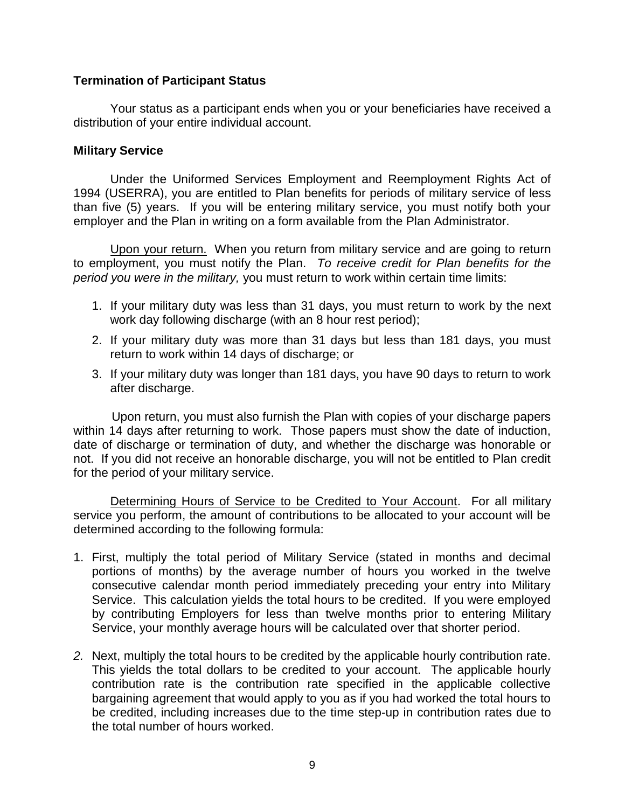### **Termination of Participant Status**

Your status as a participant ends when you or your beneficiaries have received a distribution of your entire individual account.

#### **Military Service**

Under the Uniformed Services Employment and Reemployment Rights Act of 1994 (USERRA), you are entitled to Plan benefits for periods of military service of less than five (5) years. If you will be entering military service, you must notify both your employer and the Plan in writing on a form available from the Plan Administrator.

Upon your return. When you return from military service and are going to return to employment, you must notify the Plan. *To receive credit for Plan benefits for the period you were in the military,* you must return to work within certain time limits:

- 1. If your military duty was less than 31 days, you must return to work by the next work day following discharge (with an 8 hour rest period);
- 2. If your military duty was more than 31 days but less than 181 days, you must return to work within 14 days of discharge; or
- 3. If your military duty was longer than 181 days, you have 90 days to return to work after discharge.

Upon return, you must also furnish the Plan with copies of your discharge papers within 14 days after returning to work. Those papers must show the date of induction, date of discharge or termination of duty, and whether the discharge was honorable or not. If you did not receive an honorable discharge, you will not be entitled to Plan credit for the period of your military service.

Determining Hours of Service to be Credited to Your Account. For all military service you perform, the amount of contributions to be allocated to your account will be determined according to the following formula:

- 1. First, multiply the total period of Military Service (stated in months and decimal portions of months) by the average number of hours you worked in the twelve consecutive calendar month period immediately preceding your entry into Military Service. This calculation yields the total hours to be credited. If you were employed by contributing Employers for less than twelve months prior to entering Military Service, your monthly average hours will be calculated over that shorter period.
- *2.* Next, multiply the total hours to be credited by the applicable hourly contribution rate. This yields the total dollars to be credited to your account. The applicable hourly contribution rate is the contribution rate specified in the applicable collective bargaining agreement that would apply to you as if you had worked the total hours to be credited, including increases due to the time step-up in contribution rates due to the total number of hours worked.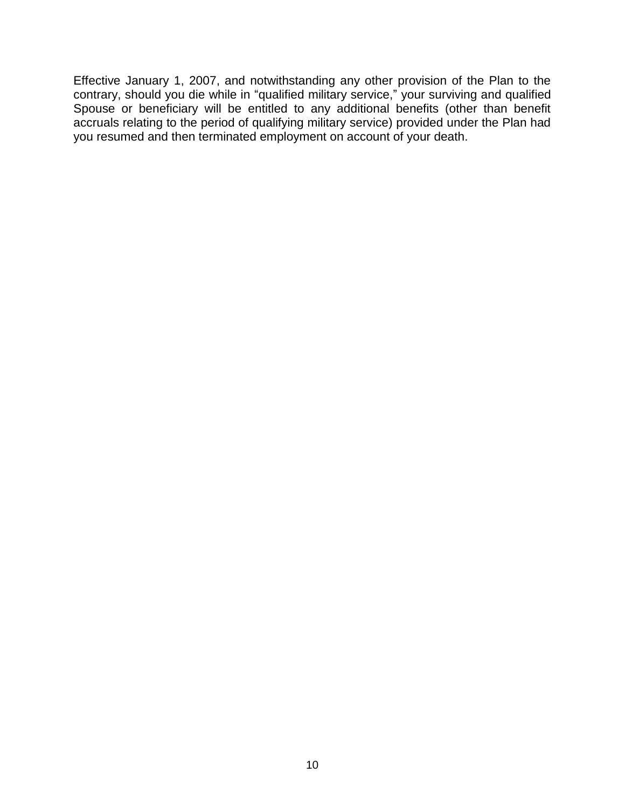Effective January 1, 2007, and notwithstanding any other provision of the Plan to the contrary, should you die while in "qualified military service," your surviving and qualified Spouse or beneficiary will be entitled to any additional benefits (other than benefit accruals relating to the period of qualifying military service) provided under the Plan had you resumed and then terminated employment on account of your death.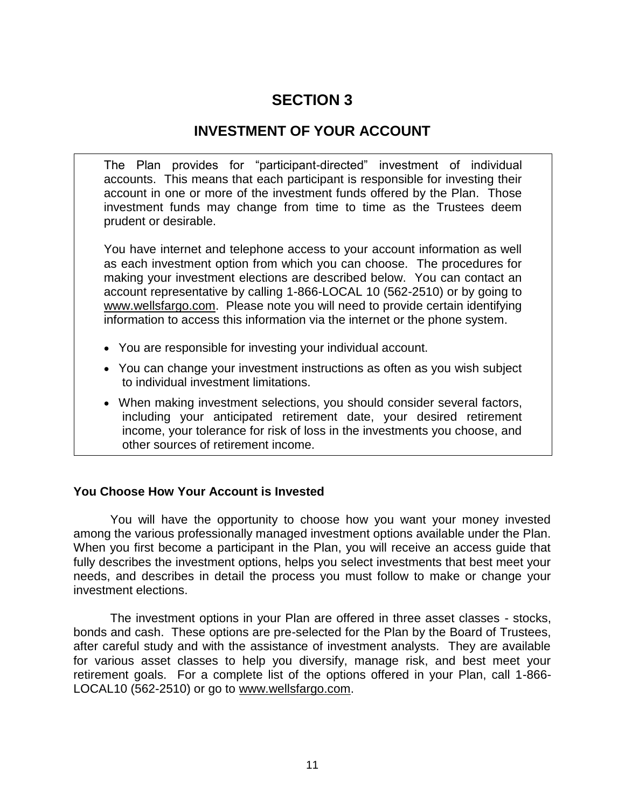### **INVESTMENT OF YOUR ACCOUNT**

The Plan provides for "participant-directed" investment of individual accounts. This means that each participant is responsible for investing their account in one or more of the investment funds offered by the Plan. Those investment funds may change from time to time as the Trustees deem prudent or desirable.

You have internet and telephone access to your account information as well as each investment option from which you can choose. The procedures for making your investment elections are described below. You can contact an account representative by calling 1-866-LOCAL 10 (562-2510) or by going to www.wellsfargo.com. Please note you will need to provide certain identifying information to access this information via the internet or the phone system.

- You are responsible for investing your individual account.
- You can change your investment instructions as often as you wish subject to individual investment limitations.
- When making investment selections, you should consider several factors, including your anticipated retirement date, your desired retirement income, your tolerance for risk of loss in the investments you choose, and other sources of retirement income.

### **You Choose How Your Account is Invested**

You will have the opportunity to choose how you want your money invested among the various professionally managed investment options available under the Plan. When you first become a participant in the Plan, you will receive an access guide that fully describes the investment options, helps you select investments that best meet your needs, and describes in detail the process you must follow to make or change your investment elections.

The investment options in your Plan are offered in three asset classes - stocks, bonds and cash. These options are pre-selected for the Plan by the Board of Trustees, after careful study and with the assistance of investment analysts. They are available for various asset classes to help you diversify, manage risk, and best meet your retirement goals. For a complete list of the options offered in your Plan, call 1-866- LOCAL10 (562-2510) or go to www.wellsfargo.com.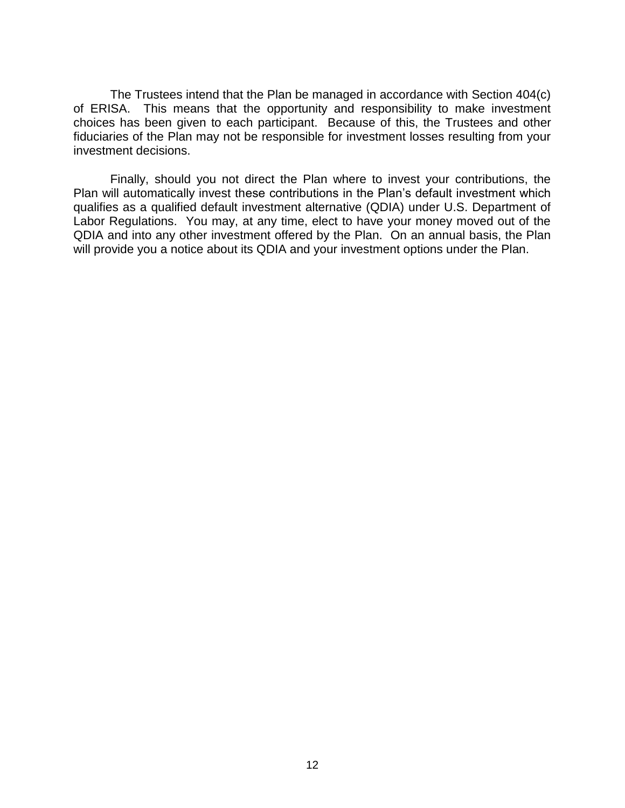The Trustees intend that the Plan be managed in accordance with Section 404(c) of ERISA. This means that the opportunity and responsibility to make investment choices has been given to each participant. Because of this, the Trustees and other fiduciaries of the Plan may not be responsible for investment losses resulting from your investment decisions.

Finally, should you not direct the Plan where to invest your contributions, the Plan will automatically invest these contributions in the Plan's default investment which qualifies as a qualified default investment alternative (QDIA) under U.S. Department of Labor Regulations. You may, at any time, elect to have your money moved out of the QDIA and into any other investment offered by the Plan. On an annual basis, the Plan will provide you a notice about its QDIA and your investment options under the Plan.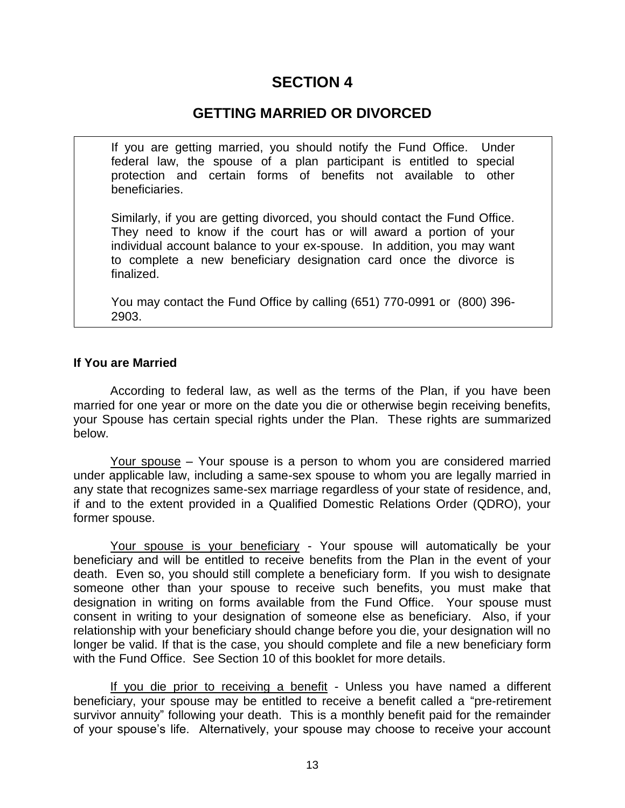### **GETTING MARRIED OR DIVORCED**

If you are getting married, you should notify the Fund Office. Under federal law, the spouse of a plan participant is entitled to special protection and certain forms of benefits not available to other beneficiaries.

Similarly, if you are getting divorced, you should contact the Fund Office. They need to know if the court has or will award a portion of your individual account balance to your ex-spouse. In addition, you may want to complete a new beneficiary designation card once the divorce is finalized.

You may contact the Fund Office by calling (651) 770-0991 or (800) 396- 2903.

### **If You are Married**

According to federal law, as well as the terms of the Plan, if you have been married for one year or more on the date you die or otherwise begin receiving benefits, your Spouse has certain special rights under the Plan. These rights are summarized below.

Your spouse – Your spouse is a person to whom you are considered married under applicable law, including a same-sex spouse to whom you are legally married in any state that recognizes same-sex marriage regardless of your state of residence, and, if and to the extent provided in a Qualified Domestic Relations Order (QDRO), your former spouse.

Your spouse is your beneficiary - Your spouse will automatically be your beneficiary and will be entitled to receive benefits from the Plan in the event of your death. Even so, you should still complete a beneficiary form. If you wish to designate someone other than your spouse to receive such benefits, you must make that designation in writing on forms available from the Fund Office. Your spouse must consent in writing to your designation of someone else as beneficiary. Also, if your relationship with your beneficiary should change before you die, your designation will no longer be valid. If that is the case, you should complete and file a new beneficiary form with the Fund Office. See Section 10 of this booklet for more details.

If you die prior to receiving a benefit - Unless you have named a different beneficiary, your spouse may be entitled to receive a benefit called a "pre-retirement survivor annuity" following your death. This is a monthly benefit paid for the remainder of your spouse's life. Alternatively, your spouse may choose to receive your account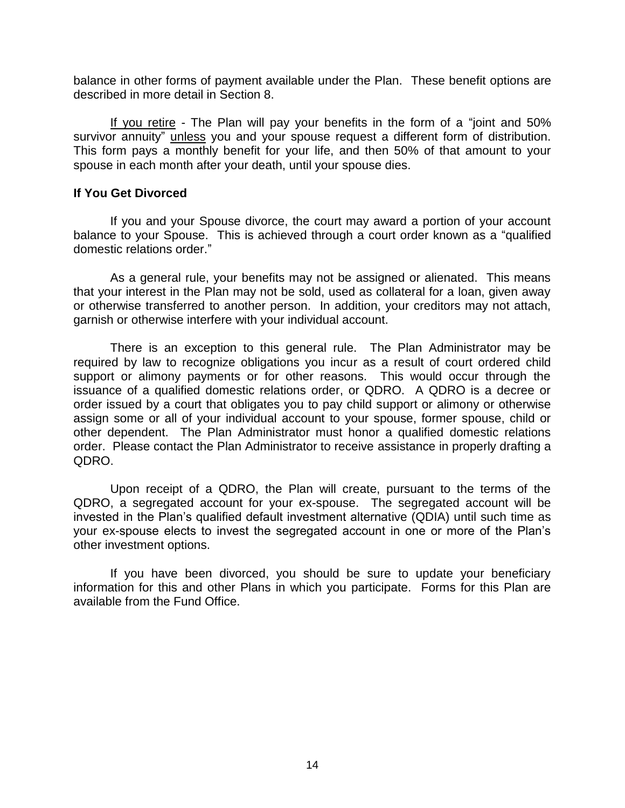balance in other forms of payment available under the Plan. These benefit options are described in more detail in Section 8.

If you retire - The Plan will pay your benefits in the form of a "joint and 50% survivor annuity" unless you and your spouse request a different form of distribution. This form pays a monthly benefit for your life, and then 50% of that amount to your spouse in each month after your death, until your spouse dies.

#### **If You Get Divorced**

If you and your Spouse divorce, the court may award a portion of your account balance to your Spouse. This is achieved through a court order known as a "qualified domestic relations order."

As a general rule, your benefits may not be assigned or alienated. This means that your interest in the Plan may not be sold, used as collateral for a loan, given away or otherwise transferred to another person. In addition, your creditors may not attach, garnish or otherwise interfere with your individual account.

There is an exception to this general rule. The Plan Administrator may be required by law to recognize obligations you incur as a result of court ordered child support or alimony payments or for other reasons. This would occur through the issuance of a qualified domestic relations order, or QDRO. A QDRO is a decree or order issued by a court that obligates you to pay child support or alimony or otherwise assign some or all of your individual account to your spouse, former spouse, child or other dependent. The Plan Administrator must honor a qualified domestic relations order. Please contact the Plan Administrator to receive assistance in properly drafting a QDRO.

Upon receipt of a QDRO, the Plan will create, pursuant to the terms of the QDRO, a segregated account for your ex-spouse. The segregated account will be invested in the Plan's qualified default investment alternative (QDIA) until such time as your ex-spouse elects to invest the segregated account in one or more of the Plan's other investment options.

If you have been divorced, you should be sure to update your beneficiary information for this and other Plans in which you participate. Forms for this Plan are available from the Fund Office.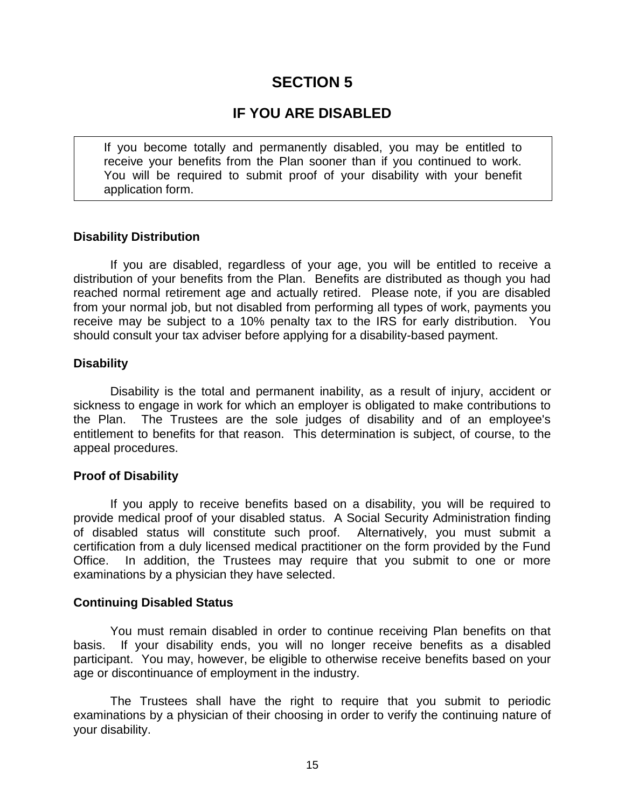### **IF YOU ARE DISABLED**

If you become totally and permanently disabled, you may be entitled to receive your benefits from the Plan sooner than if you continued to work. You will be required to submit proof of your disability with your benefit application form.

#### **Disability Distribution**

If you are disabled, regardless of your age, you will be entitled to receive a distribution of your benefits from the Plan. Benefits are distributed as though you had reached normal retirement age and actually retired. Please note, if you are disabled from your normal job, but not disabled from performing all types of work, payments you receive may be subject to a 10% penalty tax to the IRS for early distribution. You should consult your tax adviser before applying for a disability-based payment.

#### **Disability**

Disability is the total and permanent inability, as a result of injury, accident or sickness to engage in work for which an employer is obligated to make contributions to the Plan. The Trustees are the sole judges of disability and of an employee's entitlement to benefits for that reason. This determination is subject, of course, to the appeal procedures.

#### **Proof of Disability**

If you apply to receive benefits based on a disability, you will be required to provide medical proof of your disabled status. A Social Security Administration finding of disabled status will constitute such proof. Alternatively, you must submit a certification from a duly licensed medical practitioner on the form provided by the Fund Office. In addition, the Trustees may require that you submit to one or more examinations by a physician they have selected.

#### **Continuing Disabled Status**

You must remain disabled in order to continue receiving Plan benefits on that basis. If your disability ends, you will no longer receive benefits as a disabled participant. You may, however, be eligible to otherwise receive benefits based on your age or discontinuance of employment in the industry.

The Trustees shall have the right to require that you submit to periodic examinations by a physician of their choosing in order to verify the continuing nature of your disability.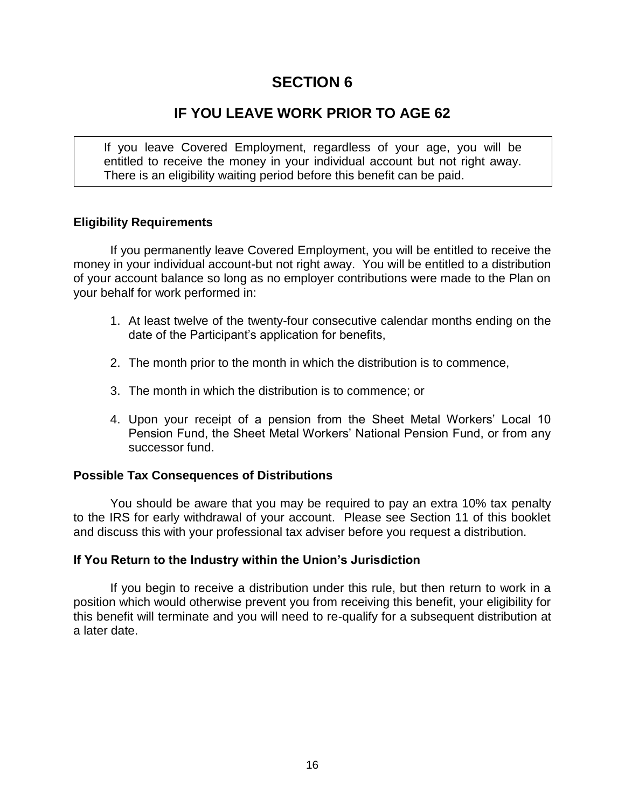### **IF YOU LEAVE WORK PRIOR TO AGE 62**

If you leave Covered Employment, regardless of your age, you will be entitled to receive the money in your individual account but not right away. There is an eligibility waiting period before this benefit can be paid.

### **Eligibility Requirements**

If you permanently leave Covered Employment, you will be entitled to receive the money in your individual account-but not right away. You will be entitled to a distribution of your account balance so long as no employer contributions were made to the Plan on your behalf for work performed in:

- 1. At least twelve of the twenty-four consecutive calendar months ending on the date of the Participant's application for benefits,
- 2. The month prior to the month in which the distribution is to commence,
- 3. The month in which the distribution is to commence; or
- 4. Upon your receipt of a pension from the Sheet Metal Workers' Local 10 Pension Fund, the Sheet Metal Workers' National Pension Fund, or from any successor fund.

### **Possible Tax Consequences of Distributions**

You should be aware that you may be required to pay an extra 10% tax penalty to the IRS for early withdrawal of your account. Please see Section 11 of this booklet and discuss this with your professional tax adviser before you request a distribution.

### **If You Return to the Industry within the Union's Jurisdiction**

If you begin to receive a distribution under this rule, but then return to work in a position which would otherwise prevent you from receiving this benefit, your eligibility for this benefit will terminate and you will need to re-qualify for a subsequent distribution at a later date.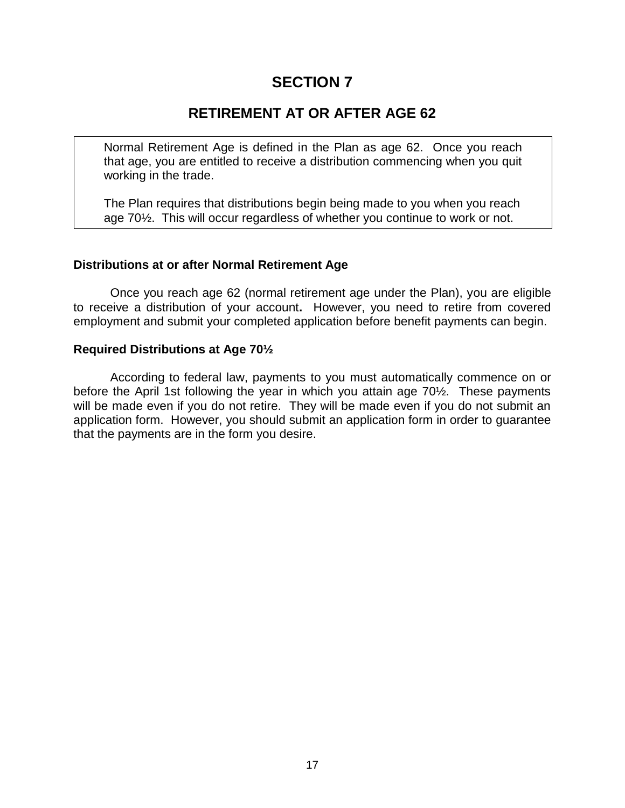### **RETIREMENT AT OR AFTER AGE 62**

Normal Retirement Age is defined in the Plan as age 62. Once you reach that age, you are entitled to receive a distribution commencing when you quit working in the trade.

The Plan requires that distributions begin being made to you when you reach age 70½. This will occur regardless of whether you continue to work or not.

### **Distributions at or after Normal Retirement Age**

Once you reach age 62 (normal retirement age under the Plan), you are eligible to receive a distribution of your account**.** However, you need to retire from covered employment and submit your completed application before benefit payments can begin.

### **Required Distributions at Age 70½**

According to federal law, payments to you must automatically commence on or before the April 1st following the year in which you attain age 70½. These payments will be made even if you do not retire. They will be made even if you do not submit an application form. However, you should submit an application form in order to guarantee that the payments are in the form you desire.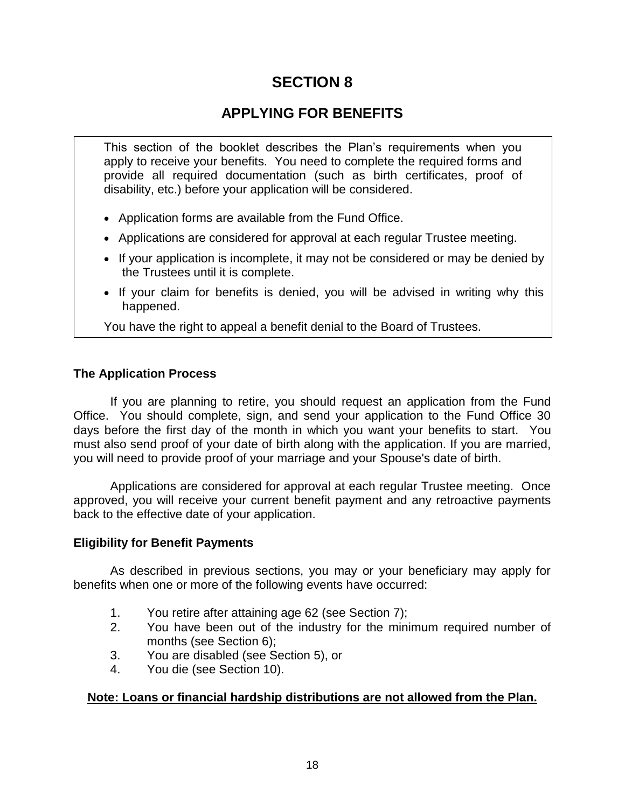# **APPLYING FOR BENEFITS**

This section of the booklet describes the Plan's requirements when you apply to receive your benefits. You need to complete the required forms and provide all required documentation (such as birth certificates, proof of disability, etc.) before your application will be considered.

- Application forms are available from the Fund Office.
- Applications are considered for approval at each regular Trustee meeting.
- If your application is incomplete, it may not be considered or may be denied by the Trustees until it is complete.
- If your claim for benefits is denied, you will be advised in writing why this happened.

You have the right to appeal a benefit denial to the Board of Trustees.

### **The Application Process**

If you are planning to retire, you should request an application from the Fund Office. You should complete, sign, and send your application to the Fund Office 30 days before the first day of the month in which you want your benefits to start. You must also send proof of your date of birth along with the application. If you are married, you will need to provide proof of your marriage and your Spouse's date of birth.

Applications are considered for approval at each regular Trustee meeting. Once approved, you will receive your current benefit payment and any retroactive payments back to the effective date of your application.

### **Eligibility for Benefit Payments**

As described in previous sections, you may or your beneficiary may apply for benefits when one or more of the following events have occurred:

- 1. You retire after attaining age 62 (see Section 7);
- 2. You have been out of the industry for the minimum required number of months (see Section 6);
- 3. You are disabled (see Section 5), or
- 4. You die (see Section 10).

### **Note: Loans or financial hardship distributions are not allowed from the Plan.**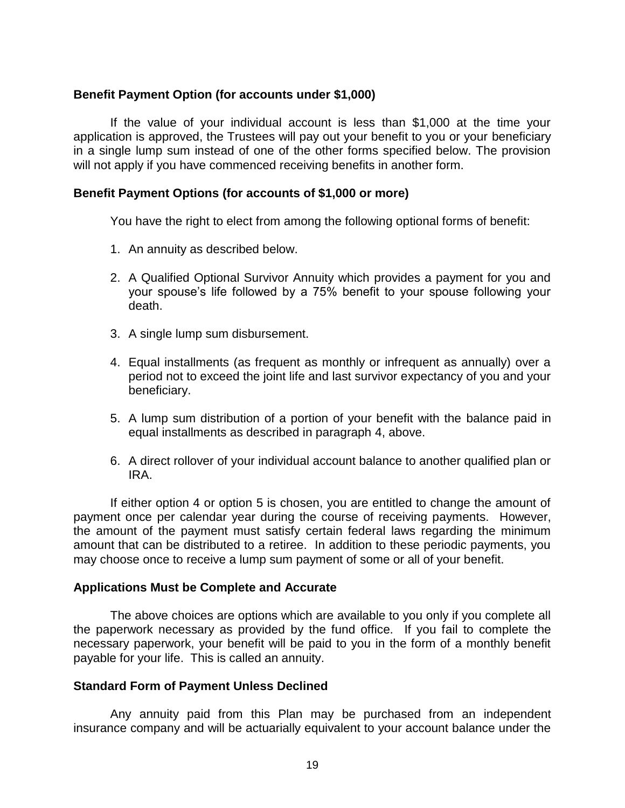### **Benefit Payment Option (for accounts under \$1,000)**

If the value of your individual account is less than \$1,000 at the time your application is approved, the Trustees will pay out your benefit to you or your beneficiary in a single lump sum instead of one of the other forms specified below. The provision will not apply if you have commenced receiving benefits in another form.

#### **Benefit Payment Options (for accounts of \$1,000 or more)**

You have the right to elect from among the following optional forms of benefit:

- 1. An annuity as described below.
- 2. A Qualified Optional Survivor Annuity which provides a payment for you and your spouse's life followed by a 75% benefit to your spouse following your death.
- 3. A single lump sum disbursement.
- 4. Equal installments (as frequent as monthly or infrequent as annually) over a period not to exceed the joint life and last survivor expectancy of you and your beneficiary.
- 5. A lump sum distribution of a portion of your benefit with the balance paid in equal installments as described in paragraph 4, above.
- 6. A direct rollover of your individual account balance to another qualified plan or IRA.

If either option 4 or option 5 is chosen, you are entitled to change the amount of payment once per calendar year during the course of receiving payments. However, the amount of the payment must satisfy certain federal laws regarding the minimum amount that can be distributed to a retiree. In addition to these periodic payments, you may choose once to receive a lump sum payment of some or all of your benefit.

#### **Applications Must be Complete and Accurate**

The above choices are options which are available to you only if you complete all the paperwork necessary as provided by the fund office. If you fail to complete the necessary paperwork, your benefit will be paid to you in the form of a monthly benefit payable for your life. This is called an annuity.

#### **Standard Form of Payment Unless Declined**

Any annuity paid from this Plan may be purchased from an independent insurance company and will be actuarially equivalent to your account balance under the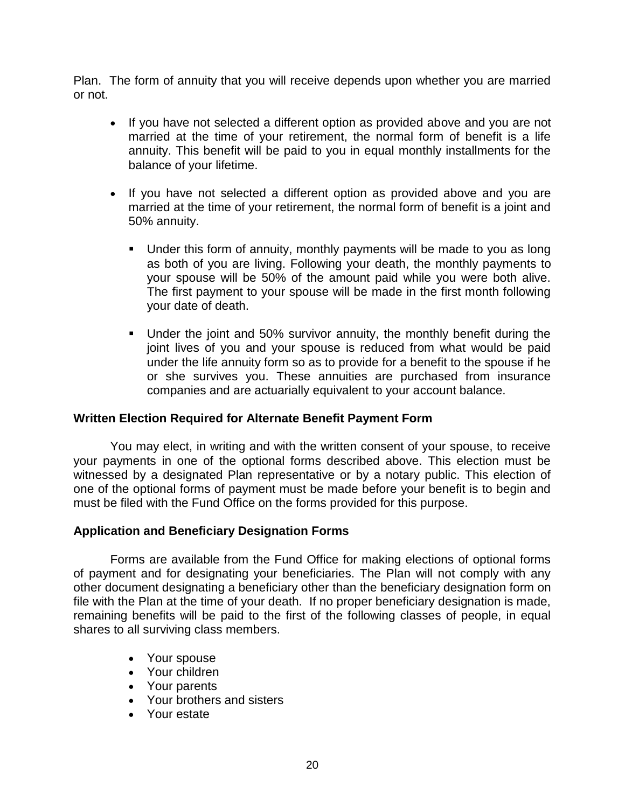Plan. The form of annuity that you will receive depends upon whether you are married or not.

- If you have not selected a different option as provided above and you are not married at the time of your retirement, the normal form of benefit is a life annuity. This benefit will be paid to you in equal monthly installments for the balance of your lifetime.
- If you have not selected a different option as provided above and you are married at the time of your retirement, the normal form of benefit is a joint and 50% annuity.
	- Under this form of annuity, monthly payments will be made to you as long as both of you are living. Following your death, the monthly payments to your spouse will be 50% of the amount paid while you were both alive. The first payment to your spouse will be made in the first month following your date of death.
	- Under the joint and 50% survivor annuity, the monthly benefit during the joint lives of you and your spouse is reduced from what would be paid under the life annuity form so as to provide for a benefit to the spouse if he or she survives you. These annuities are purchased from insurance companies and are actuarially equivalent to your account balance.

### **Written Election Required for Alternate Benefit Payment Form**

You may elect, in writing and with the written consent of your spouse, to receive your payments in one of the optional forms described above. This election must be witnessed by a designated Plan representative or by a notary public. This election of one of the optional forms of payment must be made before your benefit is to begin and must be filed with the Fund Office on the forms provided for this purpose.

### **Application and Beneficiary Designation Forms**

Forms are available from the Fund Office for making elections of optional forms of payment and for designating your beneficiaries. The Plan will not comply with any other document designating a beneficiary other than the beneficiary designation form on file with the Plan at the time of your death. If no proper beneficiary designation is made, remaining benefits will be paid to the first of the following classes of people, in equal shares to all surviving class members.

- Your spouse
- Your children
- Your parents
- Your brothers and sisters
- Your estate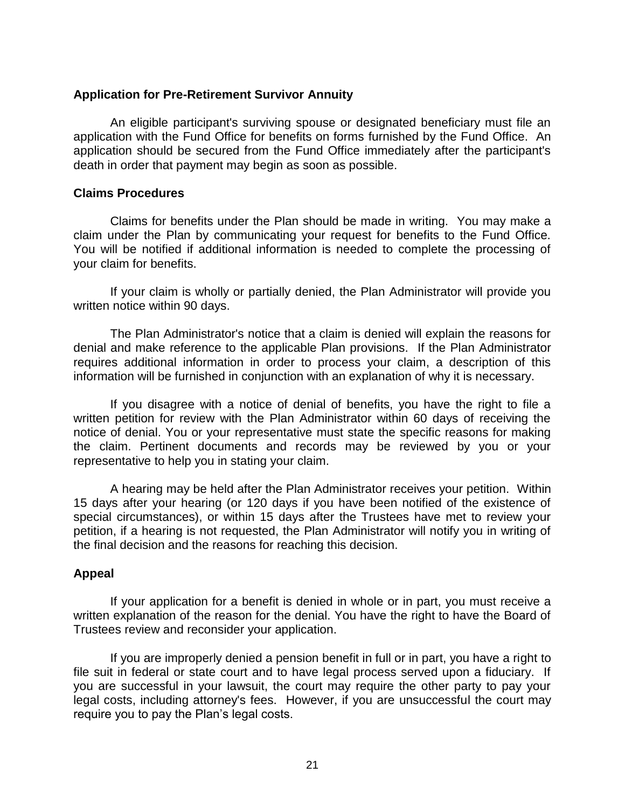#### **Application for Pre-Retirement Survivor Annuity**

An eligible participant's surviving spouse or designated beneficiary must file an application with the Fund Office for benefits on forms furnished by the Fund Office. An application should be secured from the Fund Office immediately after the participant's death in order that payment may begin as soon as possible.

#### **Claims Procedures**

Claims for benefits under the Plan should be made in writing. You may make a claim under the Plan by communicating your request for benefits to the Fund Office. You will be notified if additional information is needed to complete the processing of your claim for benefits.

If your claim is wholly or partially denied, the Plan Administrator will provide you written notice within 90 days.

The Plan Administrator's notice that a claim is denied will explain the reasons for denial and make reference to the applicable Plan provisions. If the Plan Administrator requires additional information in order to process your claim, a description of this information will be furnished in conjunction with an explanation of why it is necessary.

If you disagree with a notice of denial of benefits, you have the right to file a written petition for review with the Plan Administrator within 60 days of receiving the notice of denial. You or your representative must state the specific reasons for making the claim. Pertinent documents and records may be reviewed by you or your representative to help you in stating your claim.

A hearing may be held after the Plan Administrator receives your petition. Within 15 days after your hearing (or 120 days if you have been notified of the existence of special circumstances), or within 15 days after the Trustees have met to review your petition, if a hearing is not requested, the Plan Administrator will notify you in writing of the final decision and the reasons for reaching this decision.

### **Appeal**

If your application for a benefit is denied in whole or in part, you must receive a written explanation of the reason for the denial. You have the right to have the Board of Trustees review and reconsider your application.

If you are improperly denied a pension benefit in full or in part, you have a right to file suit in federal or state court and to have legal process served upon a fiduciary. If you are successful in your lawsuit, the court may require the other party to pay your legal costs, including attorney's fees. However, if you are unsuccessful the court may require you to pay the Plan's legal costs.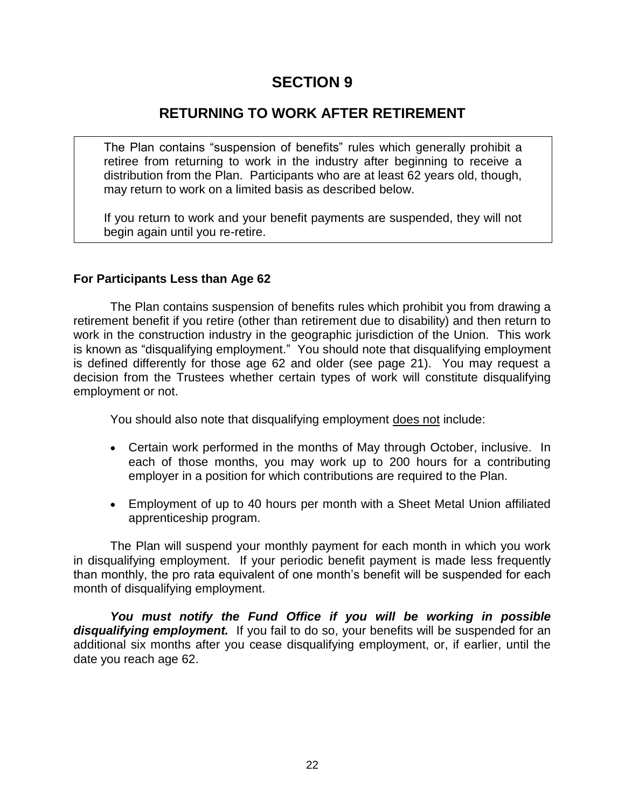### **RETURNING TO WORK AFTER RETIREMENT**

The Plan contains "suspension of benefits" rules which generally prohibit a retiree from returning to work in the industry after beginning to receive a distribution from the Plan. Participants who are at least 62 years old, though, may return to work on a limited basis as described below.

If you return to work and your benefit payments are suspended, they will not begin again until you re-retire.

### **For Participants Less than Age 62**

The Plan contains suspension of benefits rules which prohibit you from drawing a retirement benefit if you retire (other than retirement due to disability) and then return to work in the construction industry in the geographic jurisdiction of the Union. This work is known as "disqualifying employment." You should note that disqualifying employment is defined differently for those age 62 and older (see page 21). You may request a decision from the Trustees whether certain types of work will constitute disqualifying employment or not.

You should also note that disqualifying employment does not include:

- Certain work performed in the months of May through October, inclusive. In each of those months, you may work up to 200 hours for a contributing employer in a position for which contributions are required to the Plan.
- Employment of up to 40 hours per month with a Sheet Metal Union affiliated apprenticeship program.

The Plan will suspend your monthly payment for each month in which you work in disqualifying employment. If your periodic benefit payment is made less frequently than monthly, the pro rata equivalent of one month's benefit will be suspended for each month of disqualifying employment.

*You must notify the Fund Office if you will be working in possible disqualifying employment.* If you fail to do so, your benefits will be suspended for an additional six months after you cease disqualifying employment, or, if earlier, until the date you reach age 62.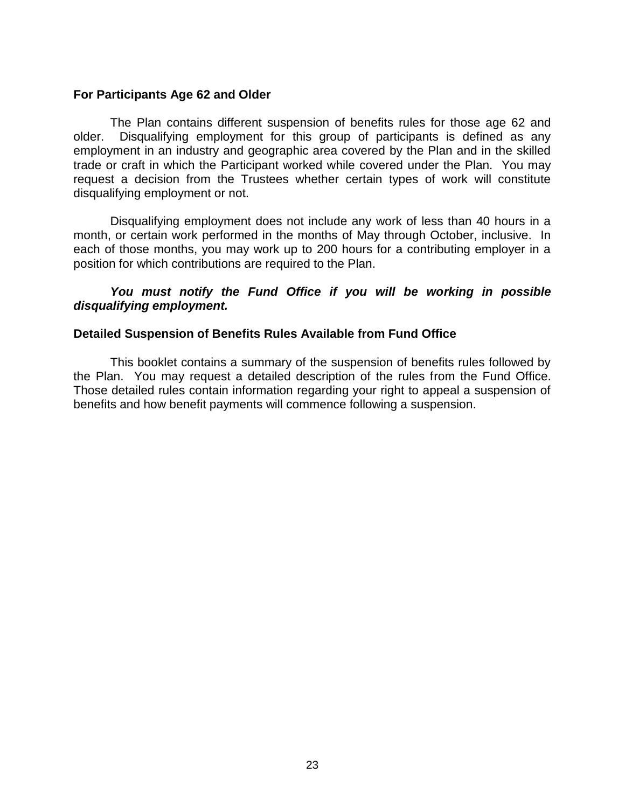#### **For Participants Age 62 and Older**

The Plan contains different suspension of benefits rules for those age 62 and older. Disqualifying employment for this group of participants is defined as any employment in an industry and geographic area covered by the Plan and in the skilled trade or craft in which the Participant worked while covered under the Plan. You may request a decision from the Trustees whether certain types of work will constitute disqualifying employment or not.

Disqualifying employment does not include any work of less than 40 hours in a month, or certain work performed in the months of May through October, inclusive. In each of those months, you may work up to 200 hours for a contributing employer in a position for which contributions are required to the Plan.

### *You must notify the Fund Office if you will be working in possible disqualifying employment.*

### **Detailed Suspension of Benefits Rules Available from Fund Office**

This booklet contains a summary of the suspension of benefits rules followed by the Plan. You may request a detailed description of the rules from the Fund Office. Those detailed rules contain information regarding your right to appeal a suspension of benefits and how benefit payments will commence following a suspension.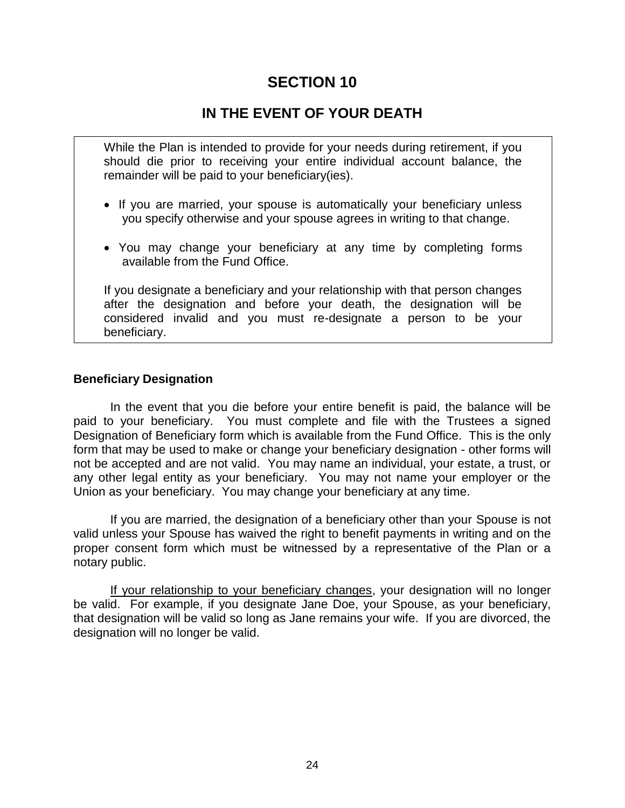### **IN THE EVENT OF YOUR DEATH**

While the Plan is intended to provide for your needs during retirement, if you should die prior to receiving your entire individual account balance, the remainder will be paid to your beneficiary(ies).

- If you are married, your spouse is automatically your beneficiary unless you specify otherwise and your spouse agrees in writing to that change.
- You may change your beneficiary at any time by completing forms available from the Fund Office.

If you designate a beneficiary and your relationship with that person changes after the designation and before your death, the designation will be considered invalid and you must re-designate a person to be your beneficiary.

#### **Beneficiary Designation**

In the event that you die before your entire benefit is paid, the balance will be paid to your beneficiary. You must complete and file with the Trustees a signed Designation of Beneficiary form which is available from the Fund Office. This is the only form that may be used to make or change your beneficiary designation - other forms will not be accepted and are not valid. You may name an individual, your estate, a trust, or any other legal entity as your beneficiary. You may not name your employer or the Union as your beneficiary. You may change your beneficiary at any time.

If you are married, the designation of a beneficiary other than your Spouse is not valid unless your Spouse has waived the right to benefit payments in writing and on the proper consent form which must be witnessed by a representative of the Plan or a notary public.

If your relationship to your beneficiary changes, your designation will no longer be valid. For example, if you designate Jane Doe, your Spouse, as your beneficiary, that designation will be valid so long as Jane remains your wife. If you are divorced, the designation will no longer be valid.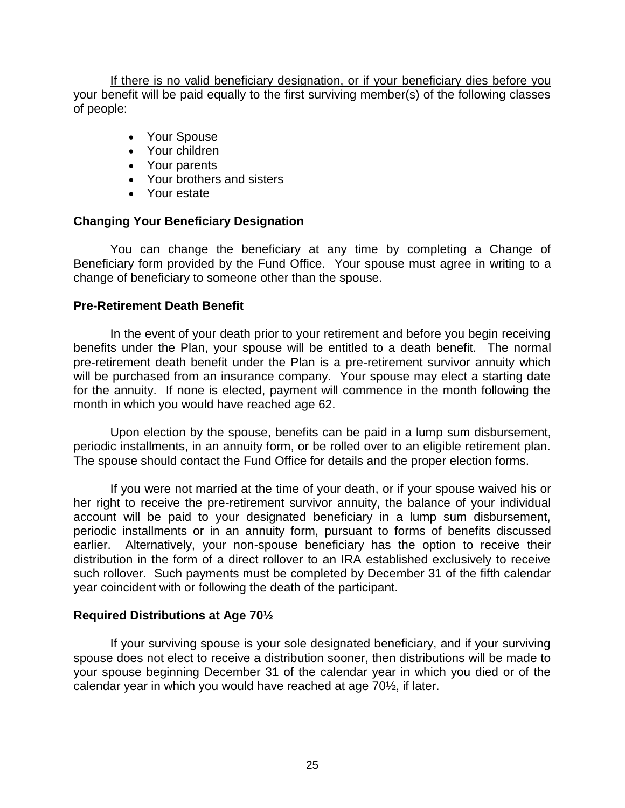If there is no valid beneficiary designation, or if your beneficiary dies before you your benefit will be paid equally to the first surviving member(s) of the following classes of people:

- Your Spouse
- Your children
- Your parents
- Your brothers and sisters
- Your estate

### **Changing Your Beneficiary Designation**

You can change the beneficiary at any time by completing a Change of Beneficiary form provided by the Fund Office. Your spouse must agree in writing to a change of beneficiary to someone other than the spouse.

### **Pre-Retirement Death Benefit**

In the event of your death prior to your retirement and before you begin receiving benefits under the Plan, your spouse will be entitled to a death benefit. The normal pre-retirement death benefit under the Plan is a pre-retirement survivor annuity which will be purchased from an insurance company. Your spouse may elect a starting date for the annuity. If none is elected, payment will commence in the month following the month in which you would have reached age 62.

Upon election by the spouse, benefits can be paid in a lump sum disbursement, periodic installments, in an annuity form, or be rolled over to an eligible retirement plan. The spouse should contact the Fund Office for details and the proper election forms.

If you were not married at the time of your death, or if your spouse waived his or her right to receive the pre-retirement survivor annuity, the balance of your individual account will be paid to your designated beneficiary in a lump sum disbursement, periodic installments or in an annuity form, pursuant to forms of benefits discussed earlier. Alternatively, your non-spouse beneficiary has the option to receive their distribution in the form of a direct rollover to an IRA established exclusively to receive such rollover. Such payments must be completed by December 31 of the fifth calendar year coincident with or following the death of the participant.

### **Required Distributions at Age 70½**

If your surviving spouse is your sole designated beneficiary, and if your surviving spouse does not elect to receive a distribution sooner, then distributions will be made to your spouse beginning December 31 of the calendar year in which you died or of the calendar year in which you would have reached at age 70½, if later.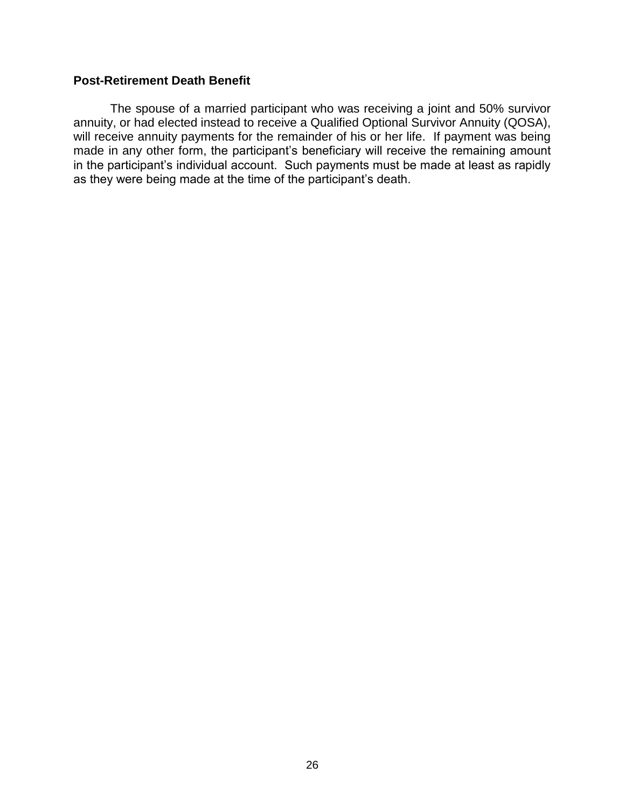### **Post-Retirement Death Benefit**

The spouse of a married participant who was receiving a joint and 50% survivor annuity, or had elected instead to receive a Qualified Optional Survivor Annuity (QOSA), will receive annuity payments for the remainder of his or her life. If payment was being made in any other form, the participant's beneficiary will receive the remaining amount in the participant's individual account. Such payments must be made at least as rapidly as they were being made at the time of the participant's death.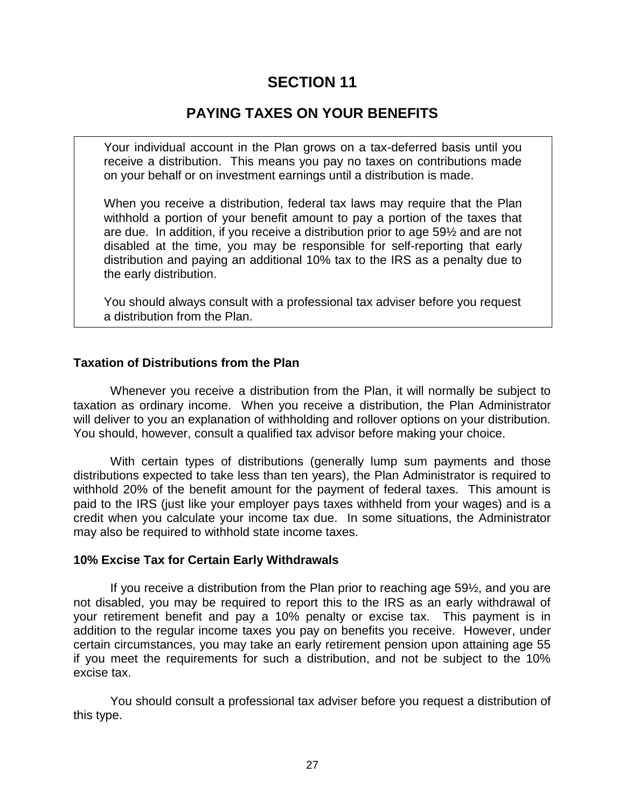# **PAYING TAXES ON YOUR BENEFITS**

Your individual account in the Plan grows on a tax-deferred basis until you receive a distribution. This means you pay no taxes on contributions made on your behalf or on investment earnings until a distribution is made.

When you receive a distribution, federal tax laws may require that the Plan withhold a portion of your benefit amount to pay a portion of the taxes that are due. In addition, if you receive a distribution prior to age 59½ and are not disabled at the time, you may be responsible for self-reporting that early distribution and paying an additional 10% tax to the IRS as a penalty due to the early distribution.

You should always consult with a professional tax adviser before you request a distribution from the Plan.

#### **Taxation of Distributions from the Plan**

Whenever you receive a distribution from the Plan, it will normally be subject to taxation as ordinary income. When you receive a distribution, the Plan Administrator will deliver to you an explanation of withholding and rollover options on your distribution. You should, however, consult a qualified tax advisor before making your choice.

With certain types of distributions (generally lump sum payments and those distributions expected to take less than ten years), the Plan Administrator is required to withhold 20% of the benefit amount for the payment of federal taxes. This amount is paid to the IRS (just like your employer pays taxes withheld from your wages) and is a credit when you calculate your income tax due. In some situations, the Administrator may also be required to withhold state income taxes.

#### **10% Excise Tax for Certain Early Withdrawals**

If you receive a distribution from the Plan prior to reaching age 59½, and you are not disabled, you may be required to report this to the IRS as an early withdrawal of your retirement benefit and pay a 10% penalty or excise tax. This payment is in addition to the regular income taxes you pay on benefits you receive. However, under certain circumstances, you may take an early retirement pension upon attaining age 55 if you meet the requirements for such a distribution, and not be subject to the 10% excise tax.

You should consult a professional tax adviser before you request a distribution of this type.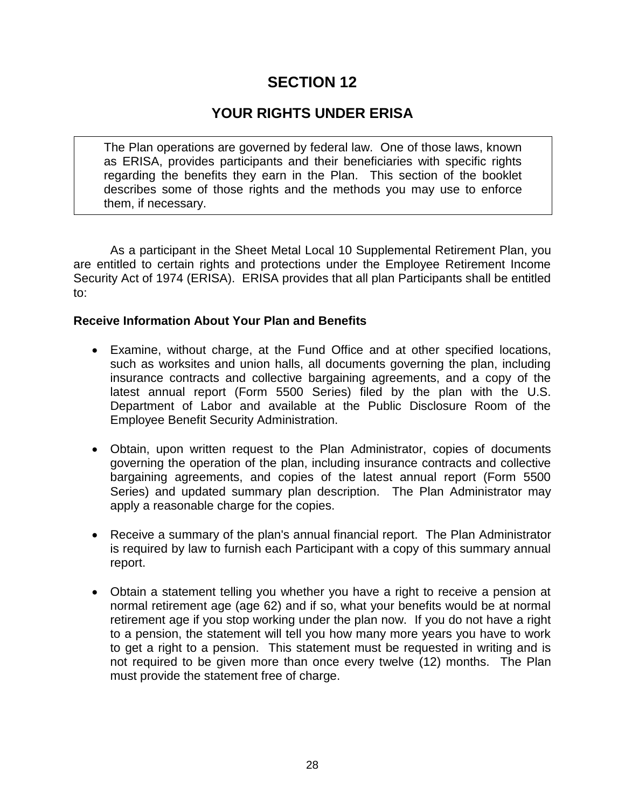# **YOUR RIGHTS UNDER ERISA**

The Plan operations are governed by federal law. One of those laws, known as ERISA, provides participants and their beneficiaries with specific rights regarding the benefits they earn in the Plan. This section of the booklet describes some of those rights and the methods you may use to enforce them, if necessary.

As a participant in the Sheet Metal Local 10 Supplemental Retirement Plan, you are entitled to certain rights and protections under the Employee Retirement Income Security Act of 1974 (ERISA). ERISA provides that all plan Participants shall be entitled to:

### **Receive Information About Your Plan and Benefits**

- Examine, without charge, at the Fund Office and at other specified locations, such as worksites and union halls, all documents governing the plan, including insurance contracts and collective bargaining agreements, and a copy of the latest annual report (Form 5500 Series) filed by the plan with the U.S. Department of Labor and available at the Public Disclosure Room of the Employee Benefit Security Administration.
- Obtain, upon written request to the Plan Administrator, copies of documents governing the operation of the plan, including insurance contracts and collective bargaining agreements, and copies of the latest annual report (Form 5500 Series) and updated summary plan description. The Plan Administrator may apply a reasonable charge for the copies.
- Receive a summary of the plan's annual financial report. The Plan Administrator is required by law to furnish each Participant with a copy of this summary annual report.
- Obtain a statement telling you whether you have a right to receive a pension at normal retirement age (age 62) and if so, what your benefits would be at normal retirement age if you stop working under the plan now. If you do not have a right to a pension, the statement will tell you how many more years you have to work to get a right to a pension. This statement must be requested in writing and is not required to be given more than once every twelve (12) months. The Plan must provide the statement free of charge.